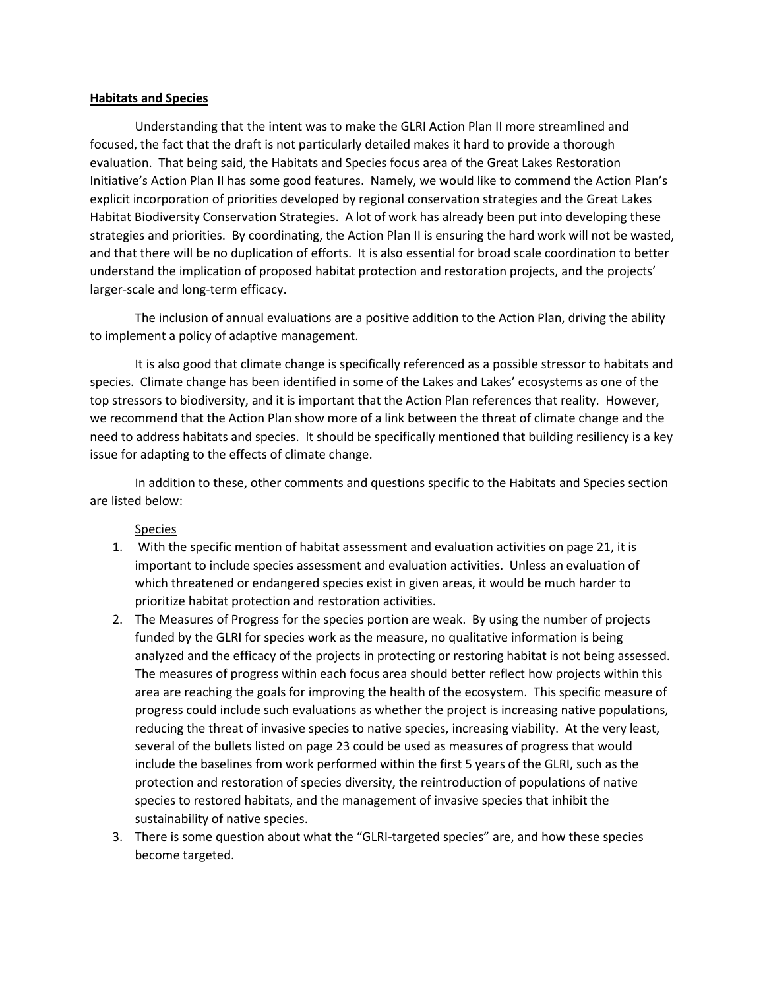## **Habitats and Species**

Understanding that the intent was to make the GLRI Action Plan II more streamlined and focused, the fact that the draft is not particularly detailed makes it hard to provide a thorough evaluation. That being said, the Habitats and Species focus area of the Great Lakes Restoration Initiative's Action Plan II has some good features. Namely, we would like to commend the Action Plan's explicit incorporation of priorities developed by regional conservation strategies and the Great Lakes Habitat Biodiversity Conservation Strategies. A lot of work has already been put into developing these strategies and priorities. By coordinating, the Action Plan II is ensuring the hard work will not be wasted, and that there will be no duplication of efforts. It is also essential for broad scale coordination to better understand the implication of proposed habitat protection and restoration projects, and the projects' larger-scale and long-term efficacy.

The inclusion of annual evaluations are a positive addition to the Action Plan, driving the ability to implement a policy of adaptive management.

It is also good that climate change is specifically referenced as a possible stressor to habitats and species. Climate change has been identified in some of the Lakes and Lakes' ecosystems as one of the top stressors to biodiversity, and it is important that the Action Plan references that reality. However, we recommend that the Action Plan show more of a link between the threat of climate change and the need to address habitats and species. It should be specifically mentioned that building resiliency is a key issue for adapting to the effects of climate change.

In addition to these, other comments and questions specific to the Habitats and Species section are listed below:

Species

- 1. With the specific mention of habitat assessment and evaluation activities on page 21, it is important to include species assessment and evaluation activities. Unless an evaluation of which threatened or endangered species exist in given areas, it would be much harder to prioritize habitat protection and restoration activities.
- 2. The Measures of Progress for the species portion are weak. By using the number of projects funded by the GLRI for species work as the measure, no qualitative information is being analyzed and the efficacy of the projects in protecting or restoring habitat is not being assessed. The measures of progress within each focus area should better reflect how projects within this area are reaching the goals for improving the health of the ecosystem. This specific measure of progress could include such evaluations as whether the project is increasing native populations, reducing the threat of invasive species to native species, increasing viability. At the very least, several of the bullets listed on page 23 could be used as measures of progress that would include the baselines from work performed within the first 5 years of the GLRI, such as the protection and restoration of species diversity, the reintroduction of populations of native species to restored habitats, and the management of invasive species that inhibit the sustainability of native species.
- 3. There is some question about what the "GLRI-targeted species" are, and how these species become targeted.